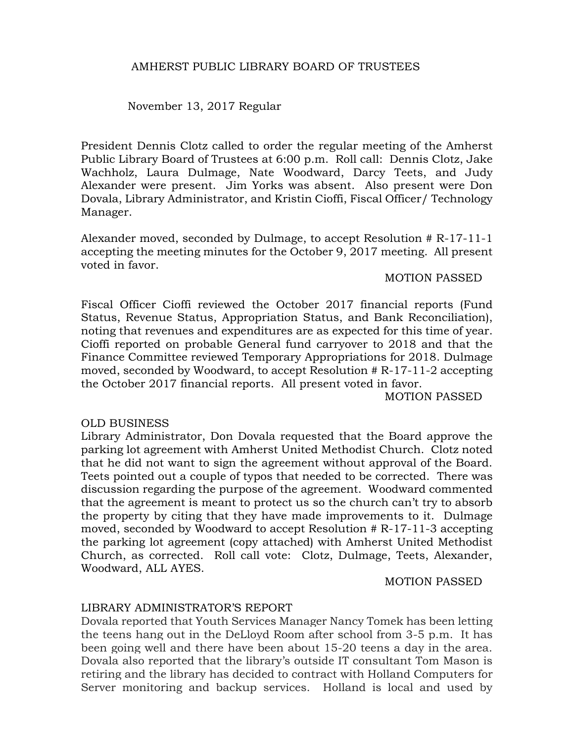#### AMHERST PUBLIC LIBRARY BOARD OF TRUSTEES

November 13, 2017 Regular

President Dennis Clotz called to order the regular meeting of the Amherst Public Library Board of Trustees at 6:00 p.m. Roll call: Dennis Clotz, Jake Wachholz, Laura Dulmage, Nate Woodward, Darcy Teets, and Judy Alexander were present. Jim Yorks was absent. Also present were Don Dovala, Library Administrator, and Kristin Cioffi, Fiscal Officer/ Technology Manager.

Alexander moved, seconded by Dulmage, to accept Resolution # R-17-11-1 accepting the meeting minutes for the October 9, 2017 meeting. All present voted in favor.

#### MOTION PASSED

Fiscal Officer Cioffi reviewed the October 2017 financial reports (Fund Status, Revenue Status, Appropriation Status, and Bank Reconciliation), noting that revenues and expenditures are as expected for this time of year. Cioffi reported on probable General fund carryover to 2018 and that the Finance Committee reviewed Temporary Appropriations for 2018. Dulmage moved, seconded by Woodward, to accept Resolution # R-17-11-2 accepting the October 2017 financial reports. All present voted in favor.

MOTION PASSED

#### OLD BUSINESS

Library Administrator, Don Dovala requested that the Board approve the parking lot agreement with Amherst United Methodist Church. Clotz noted that he did not want to sign the agreement without approval of the Board. Teets pointed out a couple of typos that needed to be corrected. There was discussion regarding the purpose of the agreement. Woodward commented that the agreement is meant to protect us so the church can't try to absorb the property by citing that they have made improvements to it. Dulmage moved, seconded by Woodward to accept Resolution # R-17-11-3 accepting the parking lot agreement (copy attached) with Amherst United Methodist Church, as corrected. Roll call vote: Clotz, Dulmage, Teets, Alexander, Woodward, ALL AYES.

MOTION PASSED

## LIBRARY ADMINISTRATOR'S REPORT

Dovala reported that Youth Services Manager Nancy Tomek has been letting the teens hang out in the DeLloyd Room after school from 3-5 p.m. It has been going well and there have been about 15-20 teens a day in the area. Dovala also reported that the library's outside IT consultant Tom Mason is retiring and the library has decided to contract with Holland Computers for Server monitoring and backup services. Holland is local and used by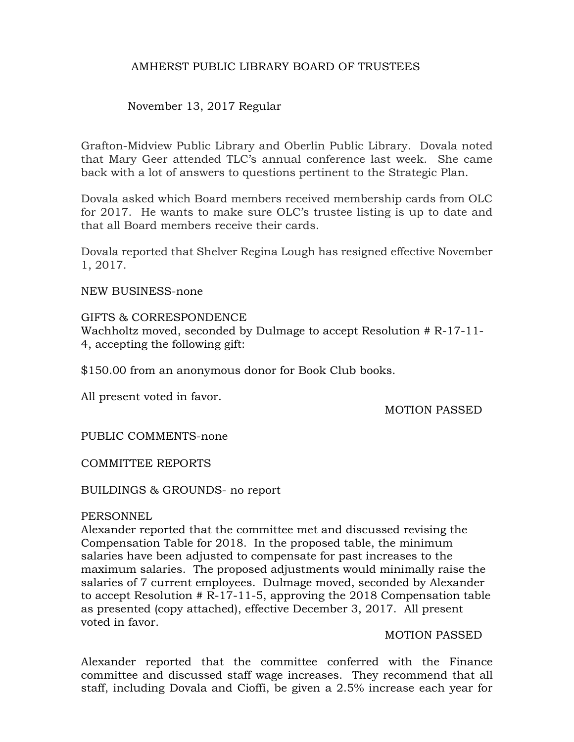## AMHERST PUBLIC LIBRARY BOARD OF TRUSTEES

## November 13, 2017 Regular

Grafton-Midview Public Library and Oberlin Public Library. Dovala noted that Mary Geer attended TLC's annual conference last week. She came back with a lot of answers to questions pertinent to the Strategic Plan.

Dovala asked which Board members received membership cards from OLC for 2017. He wants to make sure OLC's trustee listing is up to date and that all Board members receive their cards.

Dovala reported that Shelver Regina Lough has resigned effective November 1, 2017.

NEW BUSINESS-none

#### GIFTS & CORRESPONDENCE

Wachholtz moved, seconded by Dulmage to accept Resolution # R-17-11- 4, accepting the following gift:

\$150.00 from an anonymous donor for Book Club books.

All present voted in favor.

MOTION PASSED

PUBLIC COMMENTS-none

COMMITTEE REPORTS

BUILDINGS & GROUNDS- no report

#### **PERSONNEL**

Alexander reported that the committee met and discussed revising the Compensation Table for 2018. In the proposed table, the minimum salaries have been adjusted to compensate for past increases to the maximum salaries. The proposed adjustments would minimally raise the salaries of 7 current employees. Dulmage moved, seconded by Alexander to accept Resolution # R-17-11-5, approving the 2018 Compensation table as presented (copy attached), effective December 3, 2017. All present voted in favor.

#### MOTION PASSED

Alexander reported that the committee conferred with the Finance committee and discussed staff wage increases. They recommend that all staff, including Dovala and Cioffi, be given a 2.5% increase each year for